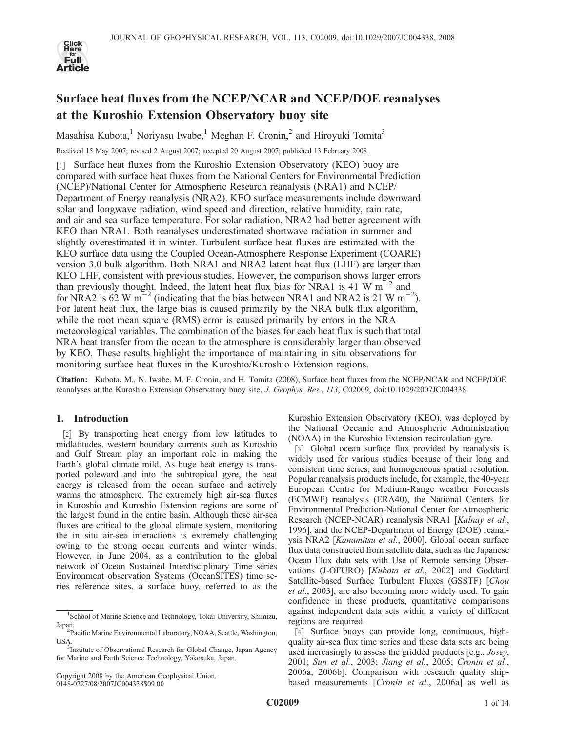

# Surface heat fluxes from the NCEP/NCAR and NCEP/DOE reanalyses at the Kuroshio Extension Observatory buoy site

Masahisa Kubota,<sup>1</sup> Noriyasu Iwabe,<sup>1</sup> Meghan F. Cronin,<sup>2</sup> and Hiroyuki Tomita<sup>3</sup>

Received 15 May 2007; revised 2 August 2007; accepted 20 August 2007; published 13 February 2008.

[1] Surface heat fluxes from the Kuroshio Extension Observatory (KEO) buoy are compared with surface heat fluxes from the National Centers for Environmental Prediction (NCEP)/National Center for Atmospheric Research reanalysis (NRA1) and NCEP/ Department of Energy reanalysis (NRA2). KEO surface measurements include downward solar and longwave radiation, wind speed and direction, relative humidity, rain rate, and air and sea surface temperature. For solar radiation, NRA2 had better agreement with KEO than NRA1. Both reanalyses underestimated shortwave radiation in summer and slightly overestimated it in winter. Turbulent surface heat fluxes are estimated with the KEO surface data using the Coupled Ocean-Atmosphere Response Experiment (COARE) version 3.0 bulk algorithm. Both NRA1 and NRA2 latent heat flux (LHF) are larger than KEO LHF, consistent with previous studies. However, the comparison shows larger errors than previously thought. Indeed, the latent heat flux bias for NRA1 is 41 W  $\mathrm{m}^{-2}$  and for NRA2 is 62 W m<sup>-2</sup> (indicating that the bias between NRA1 and NRA2 is 21 W m<sup>-2</sup>). For latent heat flux, the large bias is caused primarily by the NRA bulk flux algorithm, while the root mean square (RMS) error is caused primarily by errors in the NRA meteorological variables. The combination of the biases for each heat flux is such that total NRA heat transfer from the ocean to the atmosphere is considerably larger than observed by KEO. These results highlight the importance of maintaining in situ observations for monitoring surface heat fluxes in the Kuroshio/Kuroshio Extension regions.

Citation: Kubota, M., N. Iwabe, M. F. Cronin, and H. Tomita (2008), Surface heat fluxes from the NCEP/NCAR and NCEP/DOE reanalyses at the Kuroshio Extension Observatory buoy site, J. Geophys. Res., 113, C02009, doi:10.1029/2007JC004338.

## 1. Introduction

[2] By transporting heat energy from low latitudes to midlatitudes, western boundary currents such as Kuroshio and Gulf Stream play an important role in making the Earth's global climate mild. As huge heat energy is transported poleward and into the subtropical gyre, the heat energy is released from the ocean surface and actively warms the atmosphere. The extremely high air-sea fluxes in Kuroshio and Kuroshio Extension regions are some of the largest found in the entire basin. Although these air-sea fluxes are critical to the global climate system, monitoring the in situ air-sea interactions is extremely challenging owing to the strong ocean currents and winter winds. However, in June 2004, as a contribution to the global network of Ocean Sustained Interdisciplinary Time series Environment observation Systems (OceanSITES) time series reference sites, a surface buoy, referred to as the

Kuroshio Extension Observatory (KEO), was deployed by the National Oceanic and Atmospheric Administration (NOAA) in the Kuroshio Extension recirculation gyre.

[3] Global ocean surface flux provided by reanalysis is widely used for various studies because of their long and consistent time series, and homogeneous spatial resolution. Popular reanalysis products include, for example, the 40-year European Centre for Medium-Range weather Forecasts (ECMWF) reanalysis (ERA40), the National Centers for Environmental Prediction-National Center for Atmospheric Research (NCEP-NCAR) reanalysis NRA1 [Kalnay et al., 1996], and the NCEP-Department of Energy (DOE) reanalysis NRA2 [Kanamitsu et al., 2000]. Global ocean surface flux data constructed from satellite data, such as the Japanese Ocean Flux data sets with Use of Remote sensing Observations (J-OFURO) [Kubota et al., 2002] and Goddard Satellite-based Surface Turbulent Fluxes (GSSTF) [Chou et al., 2003], are also becoming more widely used. To gain confidence in these products, quantitative comparisons against independent data sets within a variety of different regions are required.

[4] Surface buoys can provide long, continuous, highquality air-sea flux time series and these data sets are being used increasingly to assess the gridded products [e.g., Josey, 2001; Sun et al., 2003; Jiang et al., 2005; Cronin et al., 2006a, 2006b]. Comparison with research quality shipbased measurements [Cronin et al., 2006a] as well as

<sup>1</sup> School of Marine Science and Technology, Tokai University, Shimizu, Japan. <sup>2</sup>

<sup>&</sup>lt;sup>2</sup>Pacific Marine Environmental Laboratory, NOAA, Seattle, Washington, USA.

<sup>&</sup>lt;sup>3</sup>Institute of Observational Research for Global Change, Japan Agency for Marine and Earth Science Technology, Yokosuka, Japan.

Copyright 2008 by the American Geophysical Union. 0148-0227/08/2007JC004338\$09.00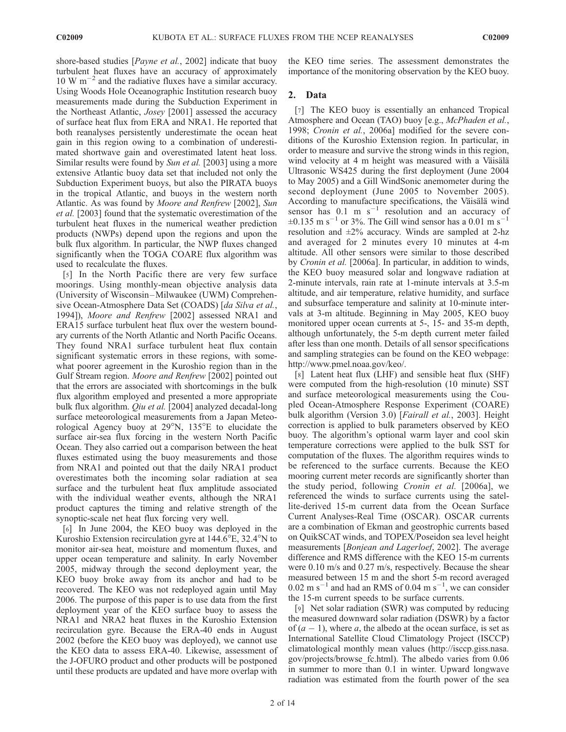shore-based studies [*Payne et al.*, 2002] indicate that buoy turbulent heat fluxes have an accuracy of approximately  $10 \text{ W m}^{-2}$  and the radiative fluxes have a similar accuracy. Using Woods Hole Oceanographic Institution research buoy measurements made during the Subduction Experiment in the Northeast Atlantic, Josey [2001] assessed the accuracy of surface heat flux from ERA and NRA1. He reported that both reanalyses persistently underestimate the ocean heat gain in this region owing to a combination of underestimated shortwave gain and overestimated latent heat loss. Similar results were found by Sun et al. [2003] using a more extensive Atlantic buoy data set that included not only the Subduction Experiment buoys, but also the PIRATA buoys in the tropical Atlantic, and buoys in the western north Atlantic. As was found by Moore and Renfrew [2002], Sun et al. [2003] found that the systematic overestimation of the turbulent heat fluxes in the numerical weather prediction products (NWPs) depend upon the regions and upon the bulk flux algorithm. In particular, the NWP fluxes changed significantly when the TOGA COARE flux algorithm was used to recalculate the fluxes.

[5] In the North Pacific there are very few surface moorings. Using monthly-mean objective analysis data (University of Wisconsin –Milwaukee (UWM) Comprehensive Ocean-Atmosphere Data Set (COADS) [da Silva et al., 1994]), Moore and Renfrew [2002] assessed NRA1 and ERA15 surface turbulent heat flux over the western boundary currents of the North Atlantic and North Pacific Oceans. They found NRA1 surface turbulent heat flux contain significant systematic errors in these regions, with somewhat poorer agreement in the Kuroshio region than in the Gulf Stream region. Moore and Renfrew [2002] pointed out that the errors are associated with shortcomings in the bulk flux algorithm employed and presented a more appropriate bulk flux algorithm. *Qiu et al.* [2004] analyzed decadal-long surface meteorological measurements from a Japan Meteorological Agency buoy at  $29^{\circ}$ N,  $135^{\circ}$ E to elucidate the surface air-sea flux forcing in the western North Pacific Ocean. They also carried out a comparison between the heat fluxes estimated using the buoy measurements and those from NRA1 and pointed out that the daily NRA1 product overestimates both the incoming solar radiation at sea surface and the turbulent heat flux amplitude associated with the individual weather events, although the NRA1 product captures the timing and relative strength of the synoptic-scale net heat flux forcing very well.

[6] In June 2004, the KEO buoy was deployed in the Kuroshio Extension recirculation gyre at  $144.6^{\circ}$ E,  $32.4^{\circ}$ N to monitor air-sea heat, moisture and momentum fluxes, and upper ocean temperature and salinity. In early November 2005, midway through the second deployment year, the KEO buoy broke away from its anchor and had to be recovered. The KEO was not redeployed again until May 2006. The purpose of this paper is to use data from the first deployment year of the KEO surface buoy to assess the NRA1 and NRA2 heat fluxes in the Kuroshio Extension recirculation gyre. Because the ERA-40 ends in August 2002 (before the KEO buoy was deployed), we cannot use the KEO data to assess ERA-40. Likewise, assessment of the J-OFURO product and other products will be postponed until these products are updated and have more overlap with

the KEO time series. The assessment demonstrates the importance of the monitoring observation by the KEO buoy.

## 2. Data

[7] The KEO buoy is essentially an enhanced Tropical Atmosphere and Ocean (TAO) buoy [e.g., McPhaden et al., 1998; Cronin et al., 2006a] modified for the severe conditions of the Kuroshio Extension region. In particular, in order to measure and survive the strong winds in this region, wind velocity at 4 m height was measured with a Väisälä Ultrasonic WS425 during the first deployment (June 2004 to May 2005) and a Gill WindSonic anemometer during the second deployment (June 2005 to November 2005). According to manufacture specifications, the Väisälä wind sensor has  $0.1 \text{ m s}^{-1}$  resolution and an accuracy of  $\pm 0.135$  m s<sup>-1</sup> or 3%. The Gill wind sensor has a 0.01 m s<sup>-1</sup> resolution and  $\pm 2\%$  accuracy. Winds are sampled at 2-hz and averaged for 2 minutes every 10 minutes at 4-m altitude. All other sensors were similar to those described by Cronin et al. [2006a]. In particular, in addition to winds, the KEO buoy measured solar and longwave radiation at 2-minute intervals, rain rate at 1-minute intervals at 3.5-m altitude, and air temperature, relative humidity, and surface and subsurface temperature and salinity at 10-minute intervals at 3-m altitude. Beginning in May 2005, KEO buoy monitored upper ocean currents at 5-, 15- and 35-m depth, although unfortunately, the 5-m depth current meter failed after less than one month. Details of all sensor specifications and sampling strategies can be found on the KEO webpage: http://www.pmel.noaa.gov/keo/.

[8] Latent heat flux (LHF) and sensible heat flux (SHF) were computed from the high-resolution (10 minute) SST and surface meteorological measurements using the Coupled Ocean-Atmosphere Response Experiment (COARE) bulk algorithm (Version 3.0) [Fairall et al., 2003]. Height correction is applied to bulk parameters observed by KEO buoy. The algorithm's optional warm layer and cool skin temperature corrections were applied to the bulk SST for computation of the fluxes. The algorithm requires winds to be referenced to the surface currents. Because the KEO mooring current meter records are significantly shorter than the study period, following Cronin et al. [2006a], we referenced the winds to surface currents using the satellite-derived 15-m current data from the Ocean Surface Current Analyses-Real Time (OSCAR). OSCAR currents are a combination of Ekman and geostrophic currents based on QuikSCAT winds, and TOPEX/Poseidon sea level height measurements [Bonjean and Lagerloef, 2002]. The average difference and RMS difference with the KEO 15-m currents were 0.10 m/s and 0.27 m/s, respectively. Because the shear measured between 15 m and the short 5-m record averaged  $0.02 \text{ m s}^{-1}$  and had an RMS of 0.04 m s<sup>-1</sup>, we can consider the 15-m current speeds to be surface currents.

[9] Net solar radiation (SWR) was computed by reducing the measured downward solar radiation (DSWR) by a factor of  $(a - 1)$ , where a, the albedo at the ocean surface, is set as International Satellite Cloud Climatology Project (ISCCP) climatological monthly mean values (http://isccp.giss.nasa. gov/projects/browse\_fc.html). The albedo varies from 0.06 in summer to more than 0.1 in winter. Upward longwave radiation was estimated from the fourth power of the sea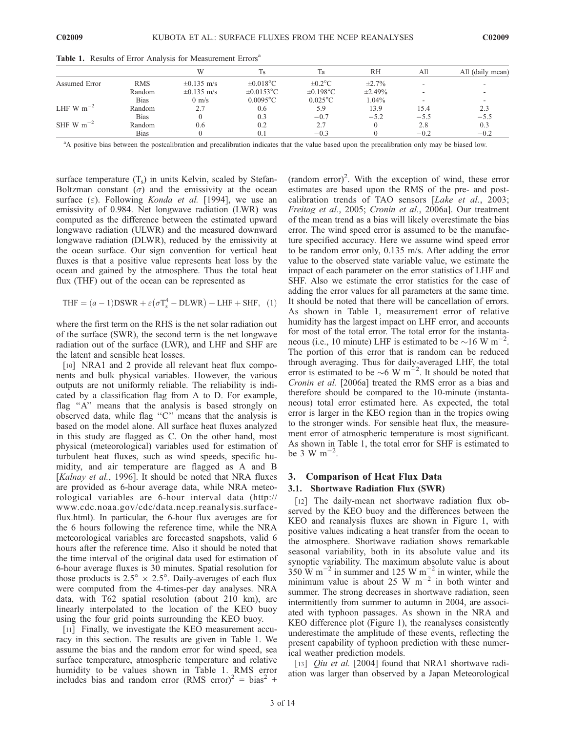|                |             | W               | Ts              | Ta                | RH           | All    | All (daily mean) |
|----------------|-------------|-----------------|-----------------|-------------------|--------------|--------|------------------|
| Assumed Error  | <b>RMS</b>  | $\pm 0.135$ m/s | $\pm 0.018$ °C  | $\pm 0.2$ °C      | $\pm 2.7\%$  |        |                  |
|                | Random      | $\pm 0.135$ m/s | $\pm 0.0153$ °C | $\pm 0.198$ °C    | $\pm 2.49\%$ |        |                  |
|                | <b>Bias</b> | $0 \text{ m/s}$ | $0.0095$ °C     | $0.025^{\circ}$ C | 1.04%        |        |                  |
| LHF W $m^{-2}$ | Random      | 2.7             | 0.6             | 5.9               | 13.9         | 15.4   | 2.3              |
|                | <b>Bias</b> |                 | 0.3             | $-0.7$            | $-5.2$       | $-5.5$ | $-5.5$           |
| SHF W $m^{-2}$ | Random      | 0.6             | 0.2             | 2.7               |              | 2.8    | 0.3              |
|                | <b>Bias</b> |                 | 0.1             | $-0.3$            |              | $-0.2$ | $-0.2$           |

Table 1. Results of Error Analysis for Measurement Errors<sup>a</sup>

<sup>a</sup>A positive bias between the postcalibration and precalibration indicates that the value based upon the precalibration only may be biased low.

surface temperature  $(T_s)$  in units Kelvin, scaled by Stefan-Boltzman constant ( $\sigma$ ) and the emissivity at the ocean surface ( $\varepsilon$ ). Following *Konda et al.* [1994], we use an emissivity of 0.984. Net longwave radiation (LWR) was computed as the difference between the estimated upward longwave radiation (ULWR) and the measured downward longwave radiation (DLWR), reduced by the emissivity at the ocean surface. Our sign convention for vertical heat fluxes is that a positive value represents heat loss by the ocean and gained by the atmosphere. Thus the total heat flux (THF) out of the ocean can be represented as

$$
THF = (a - 1)DSWR + \varepsilon(\sigma T_s^4 - DLWR) + LHF + SHF, (1)
$$

where the first term on the RHS is the net solar radiation out of the surface (SWR), the second term is the net longwave radiation out of the surface (LWR), and LHF and SHF are the latent and sensible heat losses.

[10] NRA1 and 2 provide all relevant heat flux components and bulk physical variables. However, the various outputs are not uniformly reliable. The reliability is indicated by a classification flag from A to D. For example, flag ''A'' means that the analysis is based strongly on observed data, while flag ''C'' means that the analysis is based on the model alone. All surface heat fluxes analyzed in this study are flagged as C. On the other hand, most physical (meteorological) variables used for estimation of turbulent heat fluxes, such as wind speeds, specific humidity, and air temperature are flagged as A and B [Kalnay et al., 1996]. It should be noted that NRA fluxes are provided as 6-hour average data, while NRA meteorological variables are 6-hour interval data (http:// www.cdc.noaa.gov/cdc/data.ncep.reanalysis.surfaceflux.html). In particular, the 6-hour flux averages are for the 6 hours following the reference time, while the NRA meteorological variables are forecasted snapshots, valid 6 hours after the reference time. Also it should be noted that the time interval of the original data used for estimation of 6-hour average fluxes is 30 minutes. Spatial resolution for those products is  $2.5^{\circ} \times 2.5^{\circ}$ . Daily-averages of each flux were computed from the 4-times-per day analyses. NRA data, with T62 spatial resolution (about 210 km), are linearly interpolated to the location of the KEO buoy using the four grid points surrounding the KEO buoy.

[11] Finally, we investigate the KEO measurement accuracy in this section. The results are given in Table 1. We assume the bias and the random error for wind speed, sea surface temperature, atmospheric temperature and relative humidity to be values shown in Table 1. RMS error includes bias and random error  $(RMS error)^2 = bias^2 +$ 

 $($ random error $)^2$ . With the exception of wind, these error estimates are based upon the RMS of the pre- and postcalibration trends of TAO sensors [Lake et al., 2003; Freitag et al., 2005; Cronin et al., 2006a]. Our treatment of the mean trend as a bias will likely overestimate the bias error. The wind speed error is assumed to be the manufacture specified accuracy. Here we assume wind speed error to be random error only, 0.135 m/s. After adding the error value to the observed state variable value, we estimate the impact of each parameter on the error statistics of LHF and SHF. Also we estimate the error statistics for the case of adding the error values for all parameters at the same time. It should be noted that there will be cancellation of errors. As shown in Table 1, measurement error of relative humidity has the largest impact on LHF error, and accounts for most of the total error. The total error for the instantaneous (i.e., 10 minute) LHF is estimated to be  $\sim$ 16 W m<sup>-2</sup>. The portion of this error that is random can be reduced through averaging. Thus for daily-averaged LHF, the total error is estimated to be  $\sim$  6 W m<sup>-2</sup>. It should be noted that Cronin et al. [2006a] treated the RMS error as a bias and therefore should be compared to the 10-minute (instantaneous) total error estimated here. As expected, the total error is larger in the KEO region than in the tropics owing to the stronger winds. For sensible heat flux, the measurement error of atmospheric temperature is most significant. As shown in Table 1, the total error for SHF is estimated to be 3 W  $\rm m^{-2}$ .

## 3. Comparison of Heat Flux Data

## 3.1. Shortwave Radiation Flux (SWR)

[12] The daily-mean net shortwave radiation flux observed by the KEO buoy and the differences between the KEO and reanalysis fluxes are shown in Figure 1, with positive values indicating a heat transfer from the ocean to the atmosphere. Shortwave radiation shows remarkable seasonal variability, both in its absolute value and its synoptic variability. The maximum absolute value is about  $350$  W m<sup>-2</sup> in summer and 125 W m<sup>-2</sup> in winter, while the minimum value is about 25 W  $m^{-2}$  in both winter and summer. The strong decreases in shortwave radiation, seen intermittently from summer to autumn in 2004, are associated with typhoon passages. As shown in the NRA and KEO difference plot (Figure 1), the reanalyses consistently underestimate the amplitude of these events, reflecting the present capability of typhoon prediction with these numerical weather prediction models.

[13] *Oiu et al.* [2004] found that NRA1 shortwave radiation was larger than observed by a Japan Meteorological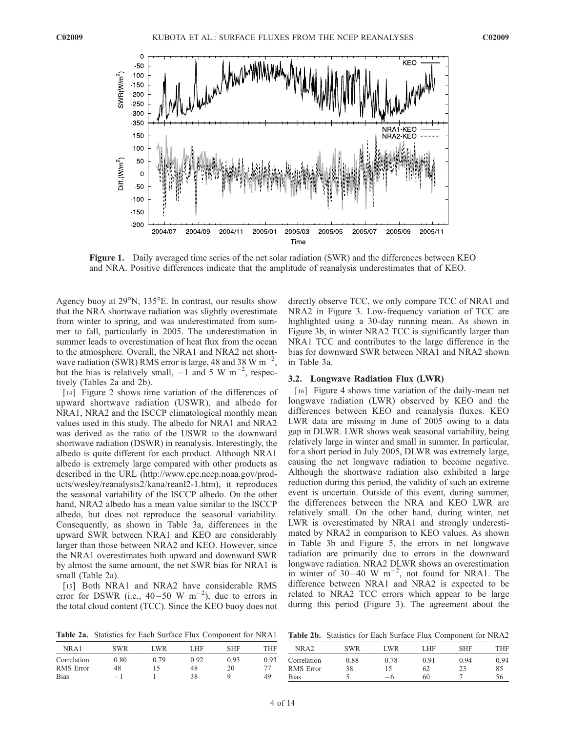

Figure 1. Daily averaged time series of the net solar radiation (SWR) and the differences between KEO and NRA. Positive differences indicate that the amplitude of reanalysis underestimates that of KEO.

Agency buoy at  $29^{\circ}$ N, 135 $^{\circ}$ E. In contrast, our results show that the NRA shortwave radiation was slightly overestimate from winter to spring, and was underestimated from summer to fall, particularly in 2005. The underestimation in summer leads to overestimation of heat flux from the ocean to the atmosphere. Overall, the NRA1 and NRA2 net shortwave radiation (SWR) RMS error is large, 48 and 38 W  $\text{m}^{-2}$ , but the bias is relatively small,  $-1$  and 5 W m<sup>-2</sup>, respectively (Tables 2a and 2b).

[14] Figure 2 shows time variation of the differences of upward shortwave radiation (USWR), and albedo for NRA1, NRA2 and the ISCCP climatological monthly mean values used in this study. The albedo for NRA1 and NRA2 was derived as the ratio of the USWR to the downward shortwave radiation (DSWR) in reanalysis. Interestingly, the albedo is quite different for each product. Although NRA1 albedo is extremely large compared with other products as described in the URL (http://www.cpc.ncep.noaa.gov/products/wesley/reanalysis2/kana/reanl2-1.htm), it reproduces the seasonal variability of the ISCCP albedo. On the other hand, NRA2 albedo has a mean value similar to the ISCCP albedo, but does not reproduce the seasonal variability. Consequently, as shown in Table 3a, differences in the upward SWR between NRA1 and KEO are considerably larger than those between NRA2 and KEO. However, since the NRA1 overestimates both upward and downward SWR by almost the same amount, the net SWR bias for NRA1 is small (Table 2a).

[15] Both NRA1 and NRA2 have considerable RMS error for DSWR (i.e.,  $40-50$  W m<sup>-2</sup>), due to errors in the total cloud content (TCC). Since the KEO buoy does not directly observe TCC, we only compare TCC of NRA1 and NRA2 in Figure 3. Low-frequency variation of TCC are highlighted using a 30-day running mean. As shown in Figure 3b, in winter NRA2 TCC is significantly larger than NRA1 TCC and contributes to the large difference in the bias for downward SWR between NRA1 and NRA2 shown in Table 3a.

#### 3.2. Longwave Radiation Flux (LWR)

[16] Figure 4 shows time variation of the daily-mean net longwave radiation (LWR) observed by KEO and the differences between KEO and reanalysis fluxes. KEO LWR data are missing in June of 2005 owing to a data gap in DLWR. LWR shows weak seasonal variability, being relatively large in winter and small in summer. In particular, for a short period in July 2005, DLWR was extremely large, causing the net longwave radiation to become negative. Although the shortwave radiation also exhibited a large reduction during this period, the validity of such an extreme event is uncertain. Outside of this event, during summer, the differences between the NRA and KEO LWR are relatively small. On the other hand, during winter, net LWR is overestimated by NRA1 and strongly underestimated by NRA2 in comparison to KEO values. As shown in Table 3b and Figure 5, the errors in net longwave radiation are primarily due to errors in the downward longwave radiation. NRA2 DLWR shows an overestimation in winter of  $30-40$  W m<sup>-2</sup>, not found for NRA1. The difference between NRA1 and NRA2 is expected to be related to NRA2 TCC errors which appear to be large during this period (Figure 3). The agreement about the

Table 2a. Statistics for Each Surface Flux Component for NRA1

| NR A 1           | SWR               | LWR  | LHF  | SHF  | THF  |
|------------------|-------------------|------|------|------|------|
| Correlation      | 0.80              | 0.79 | 0.92 | 0.93 | 0.93 |
| <b>RMS</b> Error | 48                | 15   | 48   | 20   | 77   |
| <b>Bias</b>      | $\qquad \qquad -$ |      | 38   | Q    | 49   |

Table 2b. Statistics for Each Surface Flux Component for NRA2

| NR A2       | SWR  | I WR | LHF. | <b>SHF</b> | THF  |
|-------------|------|------|------|------------|------|
| Correlation | 0.88 | 0.78 | 0.91 | 0.94       | 0.94 |
| RMS Error   | 38   | 15   | 62   | 23         | 85   |
| Bias        |      | — ჩ  | 60   |            |      |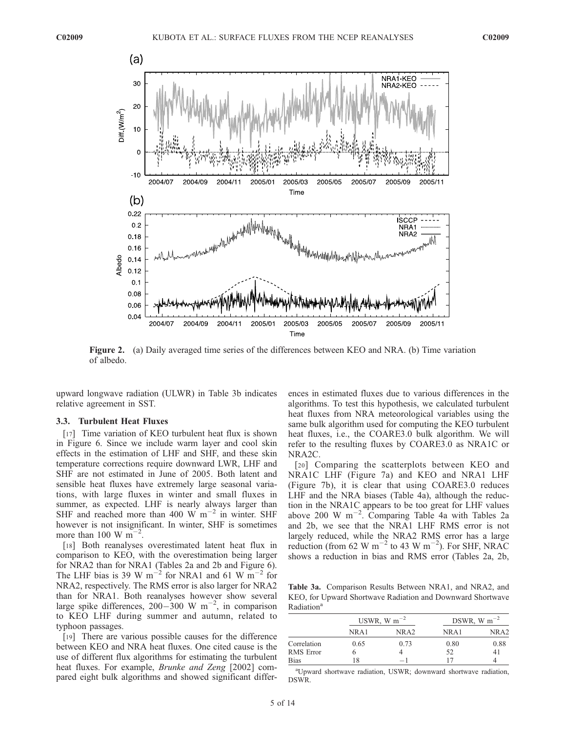

Figure 2. (a) Daily averaged time series of the differences between KEO and NRA. (b) Time variation of albedo.

upward longwave radiation (ULWR) in Table 3b indicates relative agreement in SST.

#### 3.3. Turbulent Heat Fluxes

[17] Time variation of KEO turbulent heat flux is shown in Figure 6. Since we include warm layer and cool skin effects in the estimation of LHF and SHF, and these skin temperature corrections require downward LWR, LHF and SHF are not estimated in June of 2005. Both latent and sensible heat fluxes have extremely large seasonal variations, with large fluxes in winter and small fluxes in summer, as expected. LHF is nearly always larger than SHF and reached more than 400 W  $\text{m}^{-2}$  in winter. SHF however is not insignificant. In winter, SHF is sometimes more than 100 W  $\text{m}^{-2}$ .

[18] Both reanalyses overestimated latent heat flux in comparison to KEO, with the overestimation being larger for NRA2 than for NRA1 (Tables 2a and 2b and Figure 6). The LHF bias is 39 W m<sup>-2</sup> for NRA1 and 61 W m<sup>-2</sup> for NRA2, respectively. The RMS error is also larger for NRA2 than for NRA1. Both reanalyses however show several large spike differences, 200-300 W m<sup>-2</sup>, in comparison to KEO LHF during summer and autumn, related to typhoon passages.

[19] There are various possible causes for the difference between KEO and NRA heat fluxes. One cited cause is the use of different flux algorithms for estimating the turbulent heat fluxes. For example, *Brunke and Zeng* [2002] compared eight bulk algorithms and showed significant differences in estimated fluxes due to various differences in the algorithms. To test this hypothesis, we calculated turbulent heat fluxes from NRA meteorological variables using the same bulk algorithm used for computing the KEO turbulent heat fluxes, i.e., the COARE3.0 bulk algorithm. We will refer to the resulting fluxes by COARE3.0 as NRA1C or NRA2C.

[20] Comparing the scatterplots between KEO and NRA1C LHF (Figure 7a) and KEO and NRA1 LHF (Figure 7b), it is clear that using COARE3.0 reduces LHF and the NRA biases (Table 4a), although the reduction in the NRA1C appears to be too great for LHF values above 200 W  $\text{m}^{-2}$ . Comparing Table 4a with Tables 2a and 2b, we see that the NRA1 LHF RMS error is not largely reduced, while the NRA2 RMS error has a large reduction (from 62 W m<sup>-2</sup> to 43 W m<sup>-2</sup>). For SHF, NRAC shows a reduction in bias and RMS error (Tables 2a, 2b,

Table 3a. Comparison Results Between NRA1, and NRA2, and KEO, for Upward Shortwave Radiation and Downward Shortwave Radiation<sup>a</sup>

|                  | USWR, W $m^{-2}$ |                  | DSWR, W $m^{-2}$ |                  |
|------------------|------------------|------------------|------------------|------------------|
|                  | NR A 1           | NRA <sub>2</sub> | NR A1            | NRA <sub>2</sub> |
| Correlation      | 0.65             | 0.73             | 0.80             | 0.88             |
| <b>RMS</b> Error |                  |                  | 52               | 41               |
| <b>Bias</b>      |                  | — I              |                  |                  |

a Upward shortwave radiation, USWR; downward shortwave radiation, DSWR.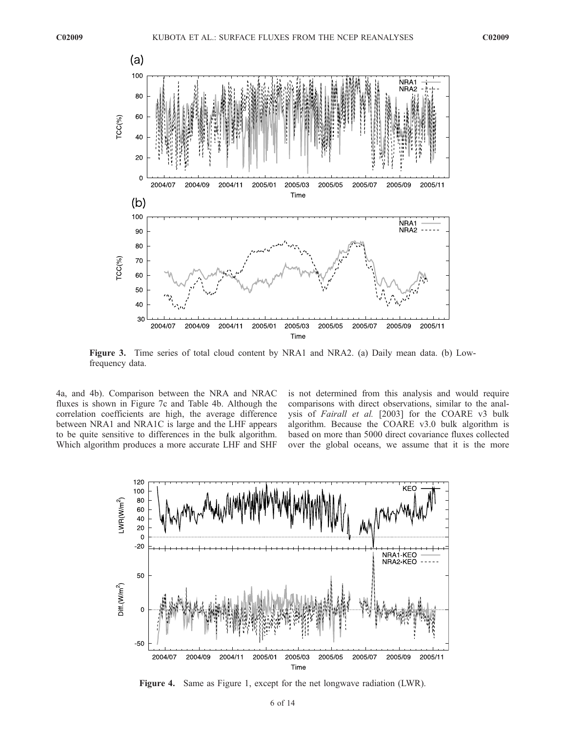

Figure 3. Time series of total cloud content by NRA1 and NRA2. (a) Daily mean data. (b) Lowfrequency data.

4a, and 4b). Comparison between the NRA and NRAC fluxes is shown in Figure 7c and Table 4b. Although the correlation coefficients are high, the average difference between NRA1 and NRA1C is large and the LHF appears to be quite sensitive to differences in the bulk algorithm. Which algorithm produces a more accurate LHF and SHF is not determined from this analysis and would require comparisons with direct observations, similar to the analysis of Fairall et al. [2003] for the COARE v3 bulk algorithm. Because the COARE v3.0 bulk algorithm is based on more than 5000 direct covariance fluxes collected over the global oceans, we assume that it is the more



Figure 4. Same as Figure 1, except for the net longwave radiation (LWR).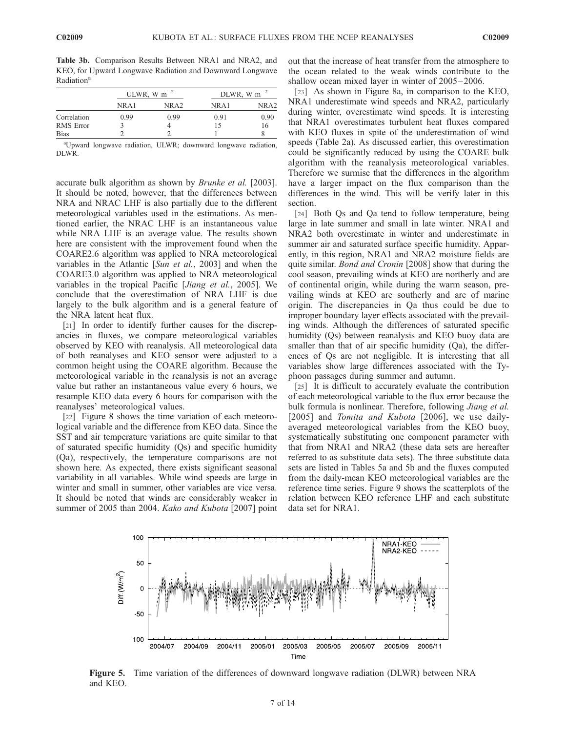Table 3b. Comparison Results Between NRA1 and NRA2, and KEO, for Upward Longwave Radiation and Downward Longwave Radiation<sup>a</sup>

|                  | ULWR, W $m^{-2}$ |      | DLWR, W $m^{-2}$ |      |
|------------------|------------------|------|------------------|------|
|                  | NRA1             | NRA2 | NR A 1           | NRA2 |
| Correlation      | 0.99             | 0.99 | 0.91             | 0.90 |
| <b>RMS</b> Error |                  |      | 15               | 16   |
| <b>Bias</b>      |                  |      |                  |      |

a Upward longwave radiation, ULWR; downward longwave radiation, DLWR.

accurate bulk algorithm as shown by Brunke et al. [2003]. It should be noted, however, that the differences between NRA and NRAC LHF is also partially due to the different meteorological variables used in the estimations. As mentioned earlier, the NRAC LHF is an instantaneous value while NRA LHF is an average value. The results shown here are consistent with the improvement found when the COARE2.6 algorithm was applied to NRA meteorological variables in the Atlantic [Sun et al., 2003] and when the COARE3.0 algorithm was applied to NRA meteorological variables in the tropical Pacific [Jiang et al., 2005]. We conclude that the overestimation of NRA LHF is due largely to the bulk algorithm and is a general feature of the NRA latent heat flux.

[21] In order to identify further causes for the discrepancies in fluxes, we compare meteorological variables observed by KEO with reanalysis. All meteorological data of both reanalyses and KEO sensor were adjusted to a common height using the COARE algorithm. Because the meteorological variable in the reanalysis is not an average value but rather an instantaneous value every 6 hours, we resample KEO data every 6 hours for comparison with the reanalyses' meteorological values.

[22] Figure 8 shows the time variation of each meteorological variable and the difference from KEO data. Since the SST and air temperature variations are quite similar to that of saturated specific humidity (Qs) and specific humidity (Qa), respectively, the temperature comparisons are not shown here. As expected, there exists significant seasonal variability in all variables. While wind speeds are large in winter and small in summer, other variables are vice versa. It should be noted that winds are considerably weaker in summer of 2005 than 2004. Kako and Kubota [2007] point

out that the increase of heat transfer from the atmosphere to the ocean related to the weak winds contribute to the shallow ocean mixed layer in winter of 2005–2006.

[23] As shown in Figure 8a, in comparison to the KEO, NRA1 underestimate wind speeds and NRA2, particularly during winter, overestimate wind speeds. It is interesting that NRA1 overestimates turbulent heat fluxes compared with KEO fluxes in spite of the underestimation of wind speeds (Table 2a). As discussed earlier, this overestimation could be significantly reduced by using the COARE bulk algorithm with the reanalysis meteorological variables. Therefore we surmise that the differences in the algorithm have a larger impact on the flux comparison than the differences in the wind. This will be verify later in this section.

[24] Both Qs and Qa tend to follow temperature, being large in late summer and small in late winter. NRA1 and NRA2 both overestimate in winter and underestimate in summer air and saturated surface specific humidity. Apparently, in this region, NRA1 and NRA2 moisture fields are quite similar. Bond and Cronin [2008] show that during the cool season, prevailing winds at KEO are northerly and are of continental origin, while during the warm season, prevailing winds at KEO are southerly and are of marine origin. The discrepancies in Qa thus could be due to improper boundary layer effects associated with the prevailing winds. Although the differences of saturated specific humidity (Qs) between reanalysis and KEO buoy data are smaller than that of air specific humidity (Qa), the differences of Qs are not negligible. It is interesting that all variables show large differences associated with the Typhoon passages during summer and autumn.

[25] It is difficult to accurately evaluate the contribution of each meteorological variable to the flux error because the bulk formula is nonlinear. Therefore, following *Jiang et al.* [2005] and *Tomita and Kubota* [2006], we use dailyaveraged meteorological variables from the KEO buoy, systematically substituting one component parameter with that from NRA1 and NRA2 (these data sets are hereafter referred to as substitute data sets). The three substitute data sets are listed in Tables 5a and 5b and the fluxes computed from the daily-mean KEO meteorological variables are the reference time series. Figure 9 shows the scatterplots of the relation between KEO reference LHF and each substitute data set for NRA1.



Figure 5. Time variation of the differences of downward longwave radiation (DLWR) between NRA and KEO.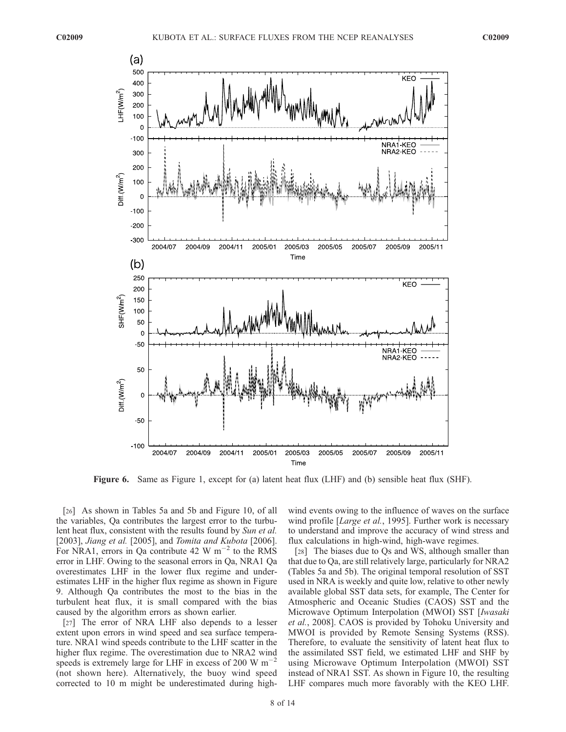

Figure 6. Same as Figure 1, except for (a) latent heat flux (LHF) and (b) sensible heat flux (SHF).

[26] As shown in Tables 5a and 5b and Figure 10, of all the variables, Qa contributes the largest error to the turbulent heat flux, consistent with the results found by Sun et al. [2003], Jiang et al. [2005], and Tomita and Kubota [2006]. For NRA1, errors in Qa contribute 42 W  $\text{m}^{-2}$  to the RMS error in LHF. Owing to the seasonal errors in Qa, NRA1 Qa overestimates LHF in the lower flux regime and underestimates LHF in the higher flux regime as shown in Figure 9. Although Qa contributes the most to the bias in the turbulent heat flux, it is small compared with the bias caused by the algorithm errors as shown earlier.

[27] The error of NRA LHF also depends to a lesser extent upon errors in wind speed and sea surface temperature. NRA1 wind speeds contribute to the LHF scatter in the higher flux regime. The overestimation due to NRA2 wind speeds is extremely large for LHF in excess of 200 W  $\text{m}^{-2}$ (not shown here). Alternatively, the buoy wind speed corrected to 10 m might be underestimated during highwind events owing to the influence of waves on the surface wind profile [*Large et al.*, 1995]. Further work is necessary to understand and improve the accuracy of wind stress and flux calculations in high-wind, high-wave regimes.

[28] The biases due to Os and WS, although smaller than that due to Qa, are still relatively large, particularly for NRA2 (Tables 5a and 5b). The original temporal resolution of SST used in NRA is weekly and quite low, relative to other newly available global SST data sets, for example, The Center for Atmospheric and Oceanic Studies (CAOS) SST and the Microwave Optimum Interpolation (MWOI) SST [Iwasaki et al., 2008]. CAOS is provided by Tohoku University and MWOI is provided by Remote Sensing Systems (RSS). Therefore, to evaluate the sensitivity of latent heat flux to the assimilated SST field, we estimated LHF and SHF by using Microwave Optimum Interpolation (MWOI) SST instead of NRA1 SST. As shown in Figure 10, the resulting LHF compares much more favorably with the KEO LHF.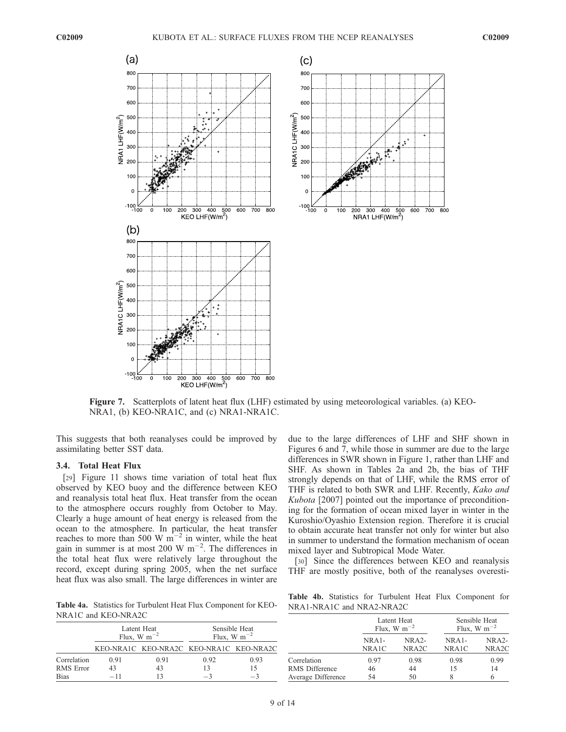

Figure 7. Scatterplots of latent heat flux (LHF) estimated by using meteorological variables. (a) KEO-NRA1, (b) KEO-NRA1C, and (c) NRA1-NRA1C.

This suggests that both reanalyses could be improved by assimilating better SST data.

## 3.4. Total Heat Flux

[29] Figure 11 shows time variation of total heat flux observed by KEO buoy and the difference between KEO and reanalysis total heat flux. Heat transfer from the ocean to the atmosphere occurs roughly from October to May. Clearly a huge amount of heat energy is released from the ocean to the atmosphere. In particular, the heat transfer reaches to more than 500 W  $\text{m}^{-2}$  in winter, while the heat gain in summer is at most 200 W  $m^{-2}$ . The differences in the total heat flux were relatively large throughout the record, except during spring 2005, when the net surface heat flux was also small. The large differences in winter are

Table 4a. Statistics for Turbulent Heat Flux Component for KEO-NRA1C and KEO-NRA2C

Latent Heat Flux, W m<sup>-</sup> Sensible Heat Flux, W  $m^{-2}$ KEO-NRA1C KEO-NRA2C KEO-NRA1C KEO-NRA2C Porrelation 0.91 0.91 0.92 0.93<br>
RMS Error 43 43 13 15 RMS Error 43 43 13 15<br>
Bias  $-11$  13  $-3$   $-3$ Bias  $-11$  13  $-3$   $-3$ 

due to the large differences of LHF and SHF shown in Figures 6 and 7, while those in summer are due to the large differences in SWR shown in Figure 1, rather than LHF and SHF. As shown in Tables 2a and 2b, the bias of THF strongly depends on that of LHF, while the RMS error of THF is related to both SWR and LHF. Recently, Kako and Kubota [2007] pointed out the importance of preconditioning for the formation of ocean mixed layer in winter in the Kuroshio/Oyashio Extension region. Therefore it is crucial to obtain accurate heat transfer not only for winter but also in summer to understand the formation mechanism of ocean mixed layer and Subtropical Mode Water.

[30] Since the differences between KEO and reanalysis THF are mostly positive, both of the reanalyses overesti-

Table 4b. Statistics for Turbulent Heat Flux Component for NRA1-NRA1C and NRA2-NRA2C

|                    |                  | Latent Heat<br>Flux, W $m^{-2}$ | Sensible Heat<br>Flux, W m <sup><math>-2</math></sup> |                               |  |
|--------------------|------------------|---------------------------------|-------------------------------------------------------|-------------------------------|--|
|                    | $NRA1-$<br>NRA1C | $NRA2-$<br>NRA <sub>2</sub> C   | $NRA1-$<br>NRA1C                                      | $NRA2-$<br>NRA <sub>2</sub> C |  |
| Correlation        | 0.97             | 0.98                            | 0.98                                                  | 0.99                          |  |
| RMS Difference     | 46               | 44                              | 15                                                    | 14                            |  |
| Average Difference | 54               | 50                              |                                                       |                               |  |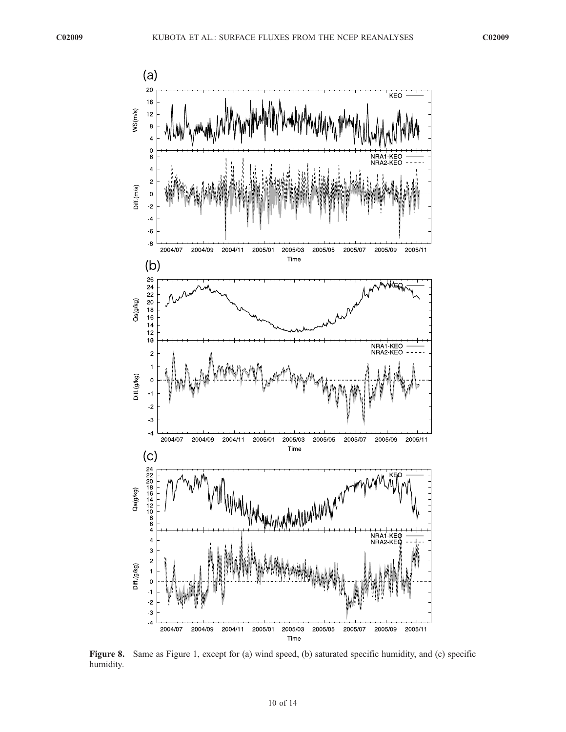

Figure 8. Same as Figure 1, except for (a) wind speed, (b) saturated specific humidity, and (c) specific humidity.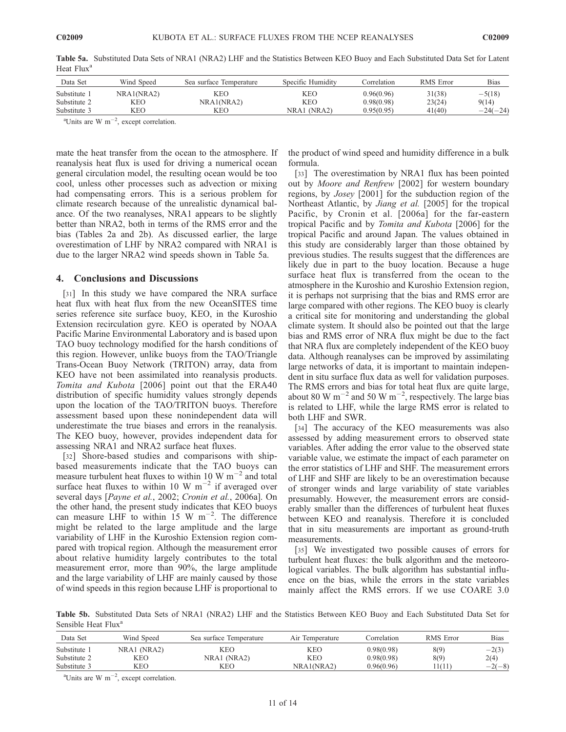| Data Set     | Wind Speed | Sea surface Temperature | Specific Humidity | Correlation | RMS Error | <b>Bias</b> |
|--------------|------------|-------------------------|-------------------|-------------|-----------|-------------|
| Substitute 1 | NRA1(NRA2) | KEO                     | KEO               | 0.96(0.96)  | 31(38)    | $-5(18)$    |
| Substitute 2 | KEO        | NRA1(NRA2)              | KEO               | 0.98(0.98)  | 23(24)    | 9(14)       |
| Substitute 3 | KEO        | KEO                     | NRA1 (NRA2)       | 0.95(0.95)  | 41(40)    | $-24(-24)$  |

Table 5a. Substituted Data Sets of NRA1 (NRA2) LHF and the Statistics Between KEO Buoy and Each Substituted Data Set for Latent Heat Flux<sup>a</sup>

<sup>a</sup>Units are W m<sup>-2</sup>, except correlation.

mate the heat transfer from the ocean to the atmosphere. If reanalysis heat flux is used for driving a numerical ocean general circulation model, the resulting ocean would be too cool, unless other processes such as advection or mixing had compensating errors. This is a serious problem for climate research because of the unrealistic dynamical balance. Of the two reanalyses, NRA1 appears to be slightly better than NRA2, both in terms of the RMS error and the bias (Tables 2a and 2b). As discussed earlier, the large overestimation of LHF by NRA2 compared with NRA1 is due to the larger NRA2 wind speeds shown in Table 5a.

### 4. Conclusions and Discussions

[31] In this study we have compared the NRA surface heat flux with heat flux from the new OceanSITES time series reference site surface buoy, KEO, in the Kuroshio Extension recirculation gyre. KEO is operated by NOAA Pacific Marine Environmental Laboratory and is based upon TAO buoy technology modified for the harsh conditions of this region. However, unlike buoys from the TAO/Triangle Trans-Ocean Buoy Network (TRITON) array, data from KEO have not been assimilated into reanalysis products. Tomita and Kubota [2006] point out that the ERA40 distribution of specific humidity values strongly depends upon the location of the TAO/TRITON buoys. Therefore assessment based upon these nonindependent data will underestimate the true biases and errors in the reanalysis. The KEO buoy, however, provides independent data for assessing NRA1 and NRA2 surface heat fluxes.

[32] Shore-based studies and comparisons with shipbased measurements indicate that the TAO buoys can measure turbulent heat fluxes to within 10 W  $\text{m}^{-2}$  and total surface heat fluxes to within 10 W  $m^{-2}$  if averaged over several days [Payne et al., 2002; Cronin et al., 2006a]. On the other hand, the present study indicates that KEO buoys can measure LHF to within  $15 \text{ W m}^{-2}$ . The difference might be related to the large amplitude and the large variability of LHF in the Kuroshio Extension region compared with tropical region. Although the measurement error about relative humidity largely contributes to the total measurement error, more than 90%, the large amplitude and the large variability of LHF are mainly caused by those of wind speeds in this region because LHF is proportional to

the product of wind speed and humidity difference in a bulk formula.

[33] The overestimation by NRA1 flux has been pointed out by Moore and Renfrew [2002] for western boundary regions, by Josey [2001] for the subduction region of the Northeast Atlantic, by Jiang et al. [2005] for the tropical Pacific, by Cronin et al. [2006a] for the far-eastern tropical Pacific and by Tomita and Kubota [2006] for the tropical Pacific and around Japan. The values obtained in this study are considerably larger than those obtained by previous studies. The results suggest that the differences are likely due in part to the buoy location. Because a huge surface heat flux is transferred from the ocean to the atmosphere in the Kuroshio and Kuroshio Extension region, it is perhaps not surprising that the bias and RMS error are large compared with other regions. The KEO buoy is clearly a critical site for monitoring and understanding the global climate system. It should also be pointed out that the large bias and RMS error of NRA flux might be due to the fact that NRA flux are completely independent of the KEO buoy data. Although reanalyses can be improved by assimilating large networks of data, it is important to maintain independent in situ surface flux data as well for validation purposes. The RMS errors and bias for total heat flux are quite large, about 80 W m<sup>-2</sup> and 50 W m<sup>-2</sup>, respectively. The large bias is related to LHF, while the large RMS error is related to both LHF and SWR.

[34] The accuracy of the KEO measurements was also assessed by adding measurement errors to observed state variables. After adding the error value to the observed state variable value, we estimate the impact of each parameter on the error statistics of LHF and SHF. The measurement errors of LHF and SHF are likely to be an overestimation because of stronger winds and large variability of state variables presumably. However, the measurement errors are considerably smaller than the differences of turbulent heat fluxes between KEO and reanalysis. Therefore it is concluded that in situ measurements are important as ground-truth measurements.

[35] We investigated two possible causes of errors for turbulent heat fluxes: the bulk algorithm and the meteorological variables. The bulk algorithm has substantial influence on the bias, while the errors in the state variables mainly affect the RMS errors. If we use COARE 3.0

Table 5b. Substituted Data Sets of NRA1 (NRA2) LHF and the Statistics Between KEO Buoy and Each Substituted Data Set for Sensible Heat Flux<sup>a</sup>

| Data Set     | Wind Speed  | Sea surface Temperature | Air Temperature | Correlation | RMS Error | Bias     |
|--------------|-------------|-------------------------|-----------------|-------------|-----------|----------|
| Substitute 1 | NRA1 (NRA2) | KEO                     | KEO             | 0.98(0.98)  | 8(9)      | $-2(3)$  |
| Substitute 2 | KEO         | NRA1 (NRA2)             | KEO             | 0.98(0.98)  | 8(9)      | 2(4)     |
| Substitute 3 | KEO         | KEO                     | NRA1(NRA2)      | 0.96(0.96)  | 11(11)    | $-2(-8)$ |

<sup>a</sup>Units are W m<sup>-2</sup>, except correlation.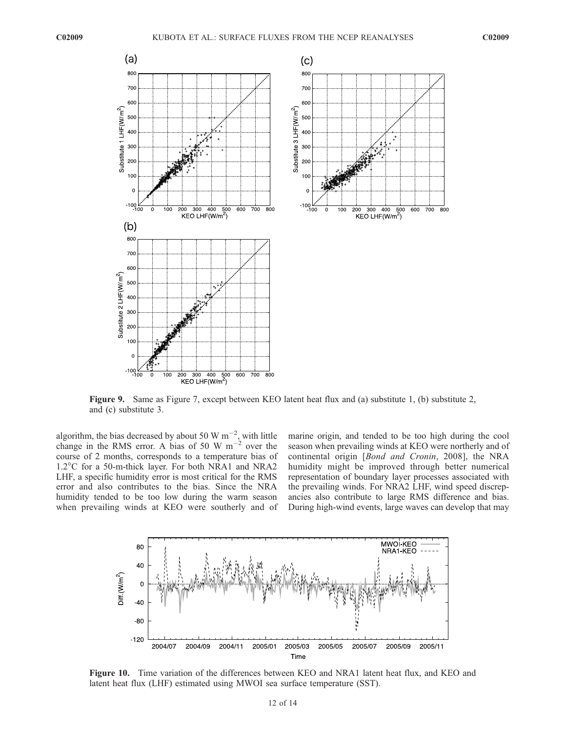

Figure 9. Same as Figure 7, except between KEO latent heat flux and (a) substitute 1, (b) substitute 2, and (c) substitute 3.

algorithm, the bias decreased by about 50 W  $\text{m}^{-2}$ , with little change in the RMS error. A bias of 50 W  $m^{-2}$  over the course of 2 months, corresponds to a temperature bias of 1.2°C for a 50-m-thick layer. For both NRA1 and NRA2 LHF, a specific humidity error is most critical for the RMS error and also contributes to the bias. Since the NRA humidity tended to be too low during the warm season when prevailing winds at KEO were southerly and of

marine origin, and tended to be too high during the cool season when prevailing winds at KEO were northerly and of continental origin [Bond and Cronin, 2008], the NRA humidity might be improved through better numerical representation of boundary layer processes associated with the prevailing winds. For NRA2 LHF, wind speed discrepancies also contribute to large RMS difference and bias. During high-wind events, large waves can develop that may



Figure 10. Time variation of the differences between KEO and NRA1 latent heat flux, and KEO and latent heat flux (LHF) estimated using MWOI sea surface temperature (SST).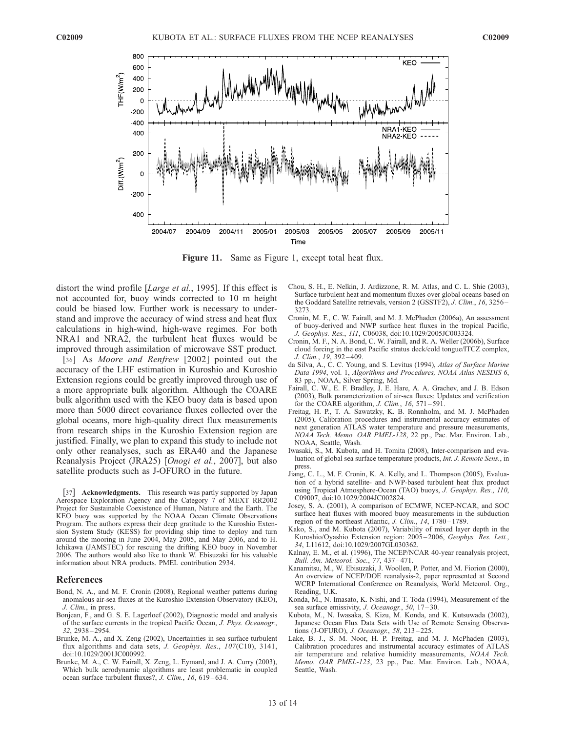

Figure 11. Same as Figure 1, except total heat flux.

distort the wind profile [Large et al., 1995]. If this effect is not accounted for, buoy winds corrected to 10 m height could be biased low. Further work is necessary to understand and improve the accuracy of wind stress and heat flux calculations in high-wind, high-wave regimes. For both NRA1 and NRA2, the turbulent heat fluxes would be improved through assimilation of microwave SST product.

[36] As Moore and Renfrew [2002] pointed out the accuracy of the LHF estimation in Kuroshio and Kuroshio Extension regions could be greatly improved through use of a more appropriate bulk algorithm. Although the COARE bulk algorithm used with the KEO buoy data is based upon more than 5000 direct covariance fluxes collected over the global oceans, more high-quality direct flux measurements from research ships in the Kuroshio Extension region are justified. Finally, we plan to expand this study to include not only other reanalyses, such as ERA40 and the Japanese Reanalysis Project (JRA25) [Onogi et al., 2007], but also satellite products such as J-OFURO in the future.

[37] **Acknowledgments.** This research was partly supported by Japan Aerospace Exploration Agency and the Category 7 of MEXT RR2002 Project for Sustainable Coexistence of Human, Nature and the Earth. The KEO buoy was supported by the NOAA Ocean Climate Observations Program. The authors express their deep gratitude to the Kuroshio Extension System Study (KESS) for providing ship time to deploy and turn around the mooring in June 2004, May 2005, and May 2006, and to H. Ichikawa (JAMSTEC) for rescuing the drifting KEO buoy in November 2006. The authors would also like to thank W. Ebisuzaki for his valuable information about NRA products. PMEL contribution 2934.

#### References

- Bond, N. A., and M. F. Cronin (2008), Regional weather patterns during anomalous air-sea fluxes at the Kuroshio Extension Observatory (KEO), J. Clim., in press.
- Bonjean, F., and G. S. E. Lagerloef (2002), Diagnostic model and analysis of the surface currents in the tropical Pacific Ocean, J. Phys. Oceanogr., 32, 2938 – 2954.
- Brunke, M. A., and X. Zeng (2002), Uncertainties in sea surface turbulent flux algorithms and data sets, J. Geophys. Res., 107(C10), 3141, doi:10.1029/2001JC000992.
- Brunke, M. A., C. W. Fairall, X. Zeng, L. Eymard, and J. A. Curry (2003), Which bulk aerodynamic algorithms are least problematic in coupled ocean surface turbulent fluxes?, J. Clim., 16, 619 – 634.
- Chou, S. H., E. Nelkin, J. Ardizzone, R. M. Atlas, and C. L. Shie (2003), Surface turbulent heat and momentum fluxes over global oceans based on the Goddard Satellite retrievals, version 2 (GSSTF2), J. Clim., 16, 3256 – 3273.
- Cronin, M. F., C. W. Fairall, and M. J. McPhaden (2006a), An assessment of buoy-derived and NWP surface heat fluxes in the tropical Pacific, J. Geophys. Res., 111, C06038, doi:10.1029/2005JC003324.
- Cronin, M. F., N. A. Bond, C. W. Fairall, and R. A. Weller (2006b), Surface cloud forcing in the east Pacific stratus deck/cold tongue/ITCZ complex, J. Clim., 19, 392 – 409.
- da Silva, A., C. C. Young, and S. Levitus (1994), Atlas of Surface Marine Data 1994, vol. 1, Algorithms and Procedures, NOAA Atlas NESDIS 6, 83 pp., NOAA, Silver Spring, Md.
- Fairall, C. W., E. F. Bradley, J. E. Hare, A. A. Grachev, and J. B. Edson (2003), Bulk parameterization of air-sea fluxes: Updates and verification for the COARE algorithm, *J. Clim.*,  $16$ ,  $571-591$ .
- Freitag, H. P., T. A. Sawatzky, K. B. Ronnholm, and M. J. McPhaden (2005), Calibration procedures and instrumental accuracy estimates of next generation ATLAS water temperature and pressure measurements, NOAA Tech. Memo. OAR PMEL-128, 22 pp., Pac. Mar. Environ. Lab., NOAA, Seattle, Wash.
- Iwasaki, S., M. Kubota, and H. Tomita (2008), Inter-comparison and evaluation of global sea surface temperature products, Int. J. Remote Sens., in press.
- Jiang, C. L., M. F. Cronin, K. A. Kelly, and L. Thompson (2005), Evaluation of a hybrid satellite- and NWP-based turbulent heat flux product using Tropical Atmosphere-Ocean (TAO) buoys, J. Geophys. Res., 110, C09007, doi:10.1029/2004JC002824.
- Josey, S. A. (2001), A comparison of ECMWF, NCEP-NCAR, and SOC surface heat fluxes with moored buoy measurements in the subduction region of the northeast Atlantic, J. Clim., 14, 1780-1789.
- Kako, S., and M. Kubota (2007), Variability of mixed layer depth in the Kuroshio/Oyashio Extension region: 2005 – 2006, Geophys. Res. Lett., 34, L11612, doi:10.1029/2007GL030362.
- Kalnay, E. M., et al. (1996), The NCEP/NCAR 40-year reanalysis project, Bull. Am. Meteorol. Soc., 77, 437 – 471.
- Kanamitsu, M., W. Ebisuzaki, J. Woollen, P. Potter, and M. Fiorion (2000), An overview of NCEP/DOE reanalysis-2, paper represented at Second WCRP International Conference on Reanalysis, World Meteorol. Org., Reading, U.K.
- Konda, M., N. Imasato, K. Nishi, and T. Toda (1994), Measurement of the sea surface emissivity, J. Oceanogr., 50, 17-30.
- Kubota, M., N. Iwasaka, S. Kizu, M. Konda, and K. Kutsuwada (2002), Japanese Ocean Flux Data Sets with Use of Remote Sensing Observations (J-OFURO), J. Oceanogr., 58, 213 – 225.
- Lake, B. J., S. M. Noor, H. P. Freitag, and M. J. McPhaden (2003), Calibration procedures and instrumental accuracy estimates of ATLAS air temperature and relative humidity measurements, NOAA Tech. Memo. OAR PMEL-123, 23 pp., Pac. Mar. Environ. Lab., NOAA, Seattle, Wash.